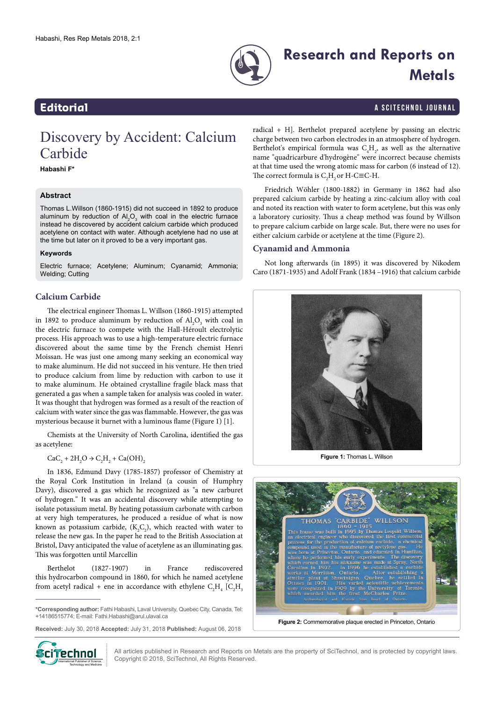

# **Research and Reports on Metals**

### **Editorial** a Scitechnol journal and  $\overline{a}$  and  $\overline{a}$  and  $\overline{a}$  are set of  $\overline{a}$  and  $\overline{a}$  are set of  $\overline{a}$  and  $\overline{a}$  are set of  $\overline{a}$  and  $\overline{a}$  are set of  $\overline{a}$  and  $\overline{a}$  are set of  $\overline{a}$

## Discovery by Accident: Calcium Carbide

**Habashi F\***

#### **Abstract**

Thomas L.Willson (1860-1915) did not succeed in 1892 to produce aluminum by reduction of  $A_2O_3$  with coal in the electric furnace instead he discovered by accident calcium carbide which produced acetylene on contact with water. Although acetylene had no use at the time but later on it proved to be a very important gas.

#### **Keywords**

Electric furnace; Acetylene; Aluminum; Cyanamid; Ammonia; Welding; Cutting

### **Calcium Carbide**

The electrical engineer Thomas L. Willson (1860-1915) attempted in 1892 to produce aluminum by reduction of  $\text{Al}_2\text{O}_3$  with coal in the electric furnace to compete with the Hall-Héroult electrolytic process. His approach was to use a high-temperature electric furnace discovered about the same time by the French chemist Henri Moissan. He was just one among many seeking an economical way to make aluminum. He did not succeed in his venture. He then tried to produce calcium from lime by reduction with carbon to use it to make aluminum. He obtained crystalline fragile black mass that generated a gas when a sample taken for analysis was cooled in water. It was thought that hydrogen was formed as a result of the reaction of calcium with water since the gas was flammable. However, the gas was mysterious because it burnet with a luminous flame (Figure 1) [1].

Chemists at the University of North Carolina, identified the gas as acetylene:

 $CaC_2 + 2H_2O \rightarrow C_2H_2 + Ca(OH)_2$ 

In 1836, Edmund Davy (1785-1857) professor of [Chemistry](https://en.wikipedia.org/wiki/Chemistry) at the [Royal Cork Institution](https://en.wikipedia.org/wiki/Royal_Cork_Institution) in Ireland (a [cousin](https://en.wikipedia.org/wiki/Cousin) of [Humphry](https://en.wikipedia.org/wiki/Humphry_Davy)  [Davy](https://en.wikipedia.org/wiki/Humphry_Davy)), discovered a gas which he recognized as "a new carburet of hydrogen." It was an accidental discovery while attempting to isolate [potassium](https://en.wikipedia.org/wiki/Potassium) metal. By heating potassium carbonate with carbon at very high temperatures, he produced a residue of what is now known as potassium carbide,  $(K_2C_2)$ , which reacted with water to release the new gas. In the paper he read to the [British Association](https://en.wikipedia.org/wiki/British_Association) at Bristol, Davy anticipated the value of acetylene as an illuminating gas. This was forgotten until [Marcellin](https://en.wikipedia.org/wiki/Marcellin_Berthelot)

[Berthelot](https://en.wikipedia.org/wiki/Marcellin_Berthelot) (1827-1907) in France rediscovered this [hydrocarbon](https://en.wikipedia.org/wiki/Hydrocarbon) compound in 1860, for which he named [acetylene](https://en.wikipedia.org/wiki/Acetylene) from acetyl radical + ene in accordance with ethylene  $C_2H_4$  [ $C_2H_3$ 

**Received:** July 30, 2018 **Accepted:** July 31, 2018 **Published:** August 06, 2018



radical + H]. Berthelot prepared acetylene by passing an electric charge between two carbon electrodes in an atmosphere of hydrogen. Berthelot's empirical formula was  $C_4H_2$ , as well as the alternative name "quadricarbure d'hydrogène" were incorrect because chemists at that time used the wrong atomic mass for carbon (6 instead of 12). The correct formula is  $C_2H_2$  or H-C≡C-H.

Friedrich Wöhler (1800-1882) in Germany in 1862 had also prepared calcium carbide by heating a zinc-calcium alloy with coal and noted its reaction with water to form acetylene, but this was only a laboratory curiosity. Thus a cheap method was found by Willson to prepare calcium carbide on large scale. But, there were no uses for either calcium carbide or acetylene at the time (Figure 2).

#### **Cyanamid and Ammonia**

Not long afterwards (in 1895) it was discovered by Nikodem Caro (1871-1935) and Adolf Frank (1834 –1916) that calcium carbide



**Figure 1:** Thomas L. Willson



All articles published in Research and Reports on Metals are the property of SciTechnol, and is protected by copyright laws. Copyright © 2018, SciTechnol, All Rights Reserved.

**<sup>\*</sup>Corresponding author:** Fathi Habashi, Laval University, Quebec City, Canada, Tel: +14186515774; E-mail: Fathi.Habashi@arul.ulaval.ca